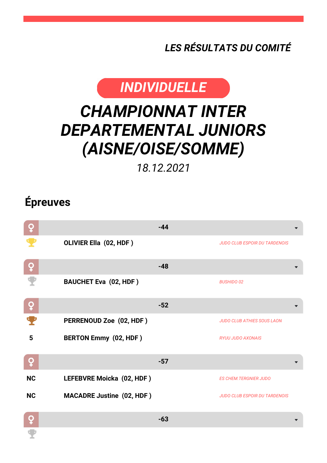*LES RÉSULTATS DU COMITÉ*

*INDIVIDUELLE*

## *CHAMPIONNAT INTER DEPARTEMENTAL JUNIORS (AISNE/OISE/SOMME)*

*18.12.2021*

## **Épreuves**

Ψ

| Q         |                                  | $-44$ |                                      |
|-----------|----------------------------------|-------|--------------------------------------|
|           | OLIVIER Ella (02, HDF)           |       | <b>JUDO CLUB ESPOIR DU TARDENOIS</b> |
| ò         |                                  | $-48$ |                                      |
|           | <b>BAUCHET Eva (02, HDF)</b>     |       | <b>BUSHIDO 02</b>                    |
| Q         |                                  | $-52$ |                                      |
|           | PERRENOUD Zoe (02, HDF)          |       | <b>JUDO CLUB ATHIES SOUS LAON</b>    |
| 5         | <b>BERTON Emmy (02, HDF)</b>     |       | <b>RYUU JUDO AXONAIS</b>             |
| Q         |                                  | $-57$ |                                      |
| <b>NC</b> | LEFEBVRE Moicka (02, HDF)        |       | <b>ES CHEM. TERGNIER JUDO</b>        |
| <b>NC</b> | <b>MACADRE Justine (02, HDF)</b> |       | <b>JUDO CLUB ESPOIR DU TARDENOIS</b> |
| O         |                                  | $-63$ |                                      |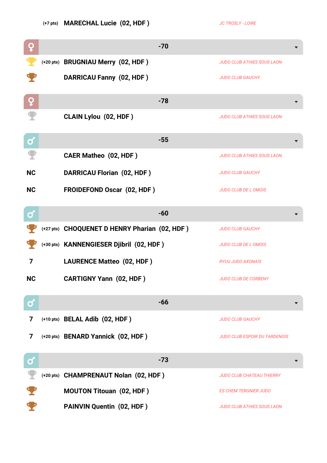**(+7 pts) MARECHAL Lucie (02, HDF )** *JC TROSLY - LOIRE*

| Q         |                                               | $-70$ |                                      |
|-----------|-----------------------------------------------|-------|--------------------------------------|
|           | (+20 pts) BRUGNIAU Merry (02, HDF)            |       | <b>JUDO CLUB ATHIES SOUS LAON</b>    |
|           | DARRICAU Fanny (02, HDF)                      |       | <b>JUDO CLUB GAUCHY</b>              |
| ç         |                                               | $-78$ |                                      |
|           | <b>CLAIN Lylou (02, HDF)</b>                  |       | <b>JUDO CLUB ATHIES SOUS LAON</b>    |
| ර         |                                               | $-55$ |                                      |
|           | <b>CAER Matheo (02, HDF)</b>                  |       | <b>JUDO CLUB ATHIES SOUS LAON</b>    |
| <b>NC</b> | <b>DARRICAU Florian (02, HDF)</b>             |       | <b>JUDO CLUB GAUCHY</b>              |
| <b>NC</b> | FROIDEFOND Oscar (02, HDF)                    |       | <b>JUDO CLUB DE L OMOIS</b>          |
| Ø         |                                               | $-60$ |                                      |
|           | (+27 pts) CHOQUENET D HENRY Pharian (02, HDF) |       | <b>JUDO CLUB GAUCHY</b>              |
|           | (+30 pts) KANNENGIESER Djibril (02, HDF)      |       | <b>JUDO CLUB DE L OMOIS</b>          |
| 7         | <b>LAURENCE Matteo (02, HDF)</b>              |       | <b>RYUU JUDO AXONAIS</b>             |
| <b>NC</b> | <b>CARTIGNY Yann (02, HDF)</b>                |       | <b>JUDO CLUB DE CORBENY</b>          |
| $\bullet$ |                                               | $-66$ |                                      |
| 7         | (+10 pts) BELAL Adib (02, HDF)                |       | <b>JUDO CLUB GAUCHY</b>              |
| 7         | (+20 pts) BENARD Yannick (02, HDF)            |       | <b>JUDO CLUB ESPOIR DU TARDENOIS</b> |
| σ         |                                               | $-73$ |                                      |
|           | (+20 pts) CHAMPRENAUT Nolan (02, HDF)         |       | <b>JUDO CLUB CHATEAU THIERRY</b>     |
|           | <b>MOUTON Titouan (02, HDF)</b>               |       | <b>ES CHEM. TERGNIER JUDO</b>        |
|           | <b>PAINVIN Quentin (02, HDF)</b>              |       | <b>JUDO CLUB ATHIES SOUS LAON</b>    |